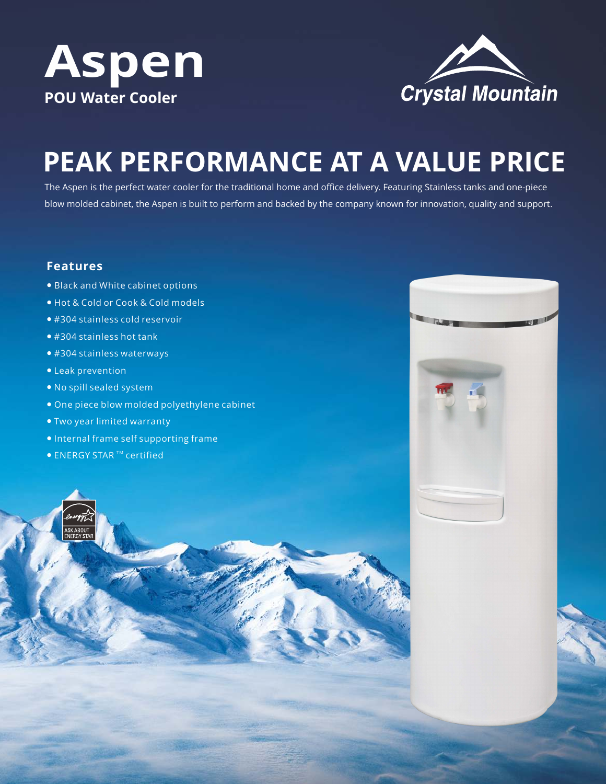



# **PEAK PERFORMANCE AT A VALUE PRICE**

The Aspen is the perfect water cooler for the traditional home and office delivery. Featuring Stainless tanks and one-piece blow molded cabinet, the Aspen is built to perform and backed by the company known for innovation, quality and support.

## **Features**

- Black and White cabinet options
- Hot & Cold or Cook & Cold models
- #304 stainless cold reservoir
- #304 stainless hot tank
- #304 stainless waterways
- Leak prevention
- No spill sealed system
- One piece blow molded polyethylene cabinet
- Two year limited warranty
- Internal frame self supporting frame
- $\bullet$  ENERGY STAR  $TM$  certified